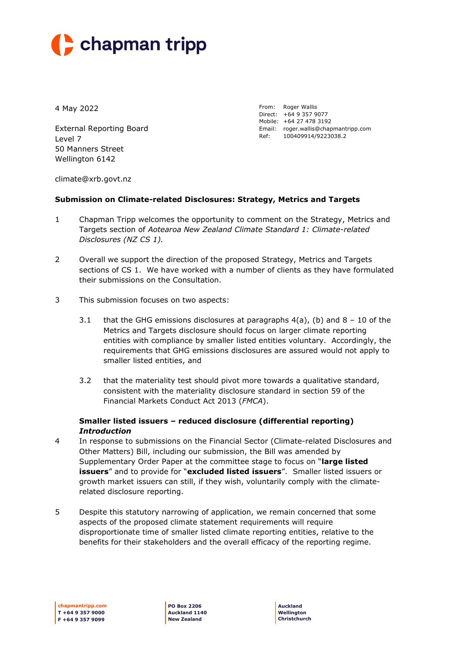# $\blacktriangleright$  chapman tripp

4 May 2022

External Reporting Board Level 7 50 Manners Street Wellington 6142

From: Roger Wallis Direct: +64 9 357 9077 Mobile: +64 27 478 3192 Email: roger.wallis@chapmantripp.com Ref: 100409914/9223038.2

[climate@xrb.govt.nz](mailto:climate@xrb.govt.nz)

#### **Submission on Climate-related Disclosures: Strategy, Metrics and Targets**

- 1 Chapman Tripp welcomes the opportunity to comment on the Strategy, Metrics and Targets section of *Aotearoa New Zealand Climate Standard 1: Climate-related Disclosures (NZ CS 1).*
- 2 Overall we support the direction of the proposed Strategy, Metrics and Targets sections of CS 1. We have worked with a number of clients as they have formulated their submissions on the Consultation.
- 3 This submission focuses on two aspects:
	- 3.1 that the GHG emissions disclosures at paragraphs  $4(a)$ , (b) and  $8 10$  of the Metrics and Targets disclosure should focus on larger climate reporting entities with compliance by smaller listed entities voluntary. Accordingly, the requirements that GHG emissions disclosures are assured would not apply to smaller listed entities, and
	- 3.2 that the materiality test should pivot more towards a qualitative standard, consistent with the materiality disclosure standard in section 59 of the Financial Markets Conduct Act 2013 (*FMCA*).

#### **Smaller listed issuers – reduced disclosure (differential reporting)** *Introduction*

- 4 In response to submissions on the Financial Sector (Climate-related Disclosures and Other Matters) Bill, including our submission, the Bill was amended by Supplementary Order Paper at the committee stage to focus on "**large listed issuers**" and to provide for "**excluded listed issuers**". Smaller listed issuers or growth market issuers can still, if they wish, voluntarily comply with the climaterelated disclosure reporting.
- 5 Despite this statutory narrowing of application, we remain concerned that some aspects of the proposed climate statement requirements will require disproportionate time of smaller listed climate reporting entities, relative to the benefits for their stakeholders and the overall efficacy of the reporting regime.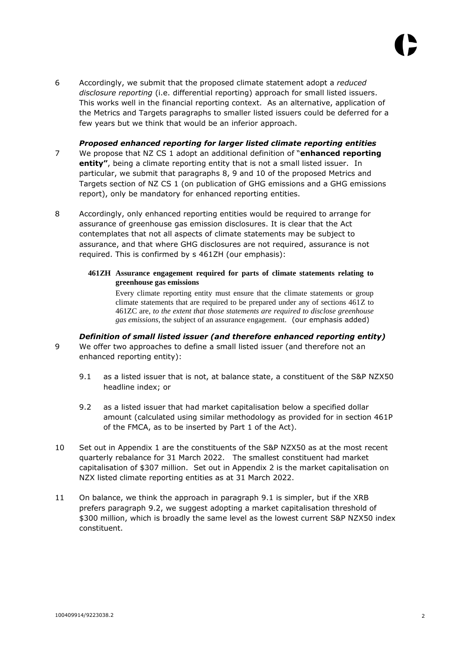6 Accordingly, we submit that the proposed climate statement adopt a *reduced disclosure reporting* (i.e. differential reporting) approach for small listed issuers. This works well in the financial reporting context. As an alternative, application of the Metrics and Targets paragraphs to smaller listed issuers could be deferred for a few years but we think that would be an inferior approach.

#### *Proposed enhanced reporting for larger listed climate reporting entities*

- 7 We propose that NZ CS 1 adopt an additional definition of "**enhanced reporting entity"**, being a climate reporting entity that is not a small listed issuer. In particular, we submit that paragraphs 8, 9 and 10 of the proposed Metrics and Targets section of NZ CS 1 (on publication of GHG emissions and a GHG emissions report), only be mandatory for enhanced reporting entities.
- 8 Accordingly, only enhanced reporting entities would be required to arrange for assurance of greenhouse gas emission disclosures. It is clear that the Act contemplates that not all aspects of climate statements may be subject to assurance, and that where GHG disclosures are not required, assurance is not required. This is confirmed by s 461ZH (our emphasis):

#### **461ZH Assurance engagement required for parts of climate statements relating to greenhouse gas emissions**

Every climate reporting entity must ensure that the climate statements or group climate statements that are required to be prepared under any of sections 461Z to 461ZC are, *to the extent that those statements are required to disclose greenhouse gas emissions*, the subject of an assurance engagement. (our emphasis added)

#### *Definition of small listed issuer (and therefore enhanced reporting entity)*

- <span id="page-1-0"></span>9 We offer two approaches to define a small listed issuer (and therefore not an enhanced reporting entity):
	- 9.1 as a listed issuer that is not, at balance state, a constituent of the S&P NZX50 headline index; or
	- 9.2 as a listed issuer that had market capitalisation below a specified dollar amount (calculated using similar methodology as provided for in section 461P of the FMCA, as to be inserted by Part 1 of the Act).
- <span id="page-1-1"></span>10 Set out in Appendix 1 are the constituents of the S&P NZX50 as at the most recent quarterly rebalance for 31 March 2022. The smallest constituent had market capitalisation of \$307 million. Set out in Appendix 2 is the market capitalisation on NZX listed climate reporting entities as at 31 March 2022.
- 11 On balance, we think the approach in paragraph [9.1](#page-1-0) is simpler, but if the XRB prefers paragraph [9.2,](#page-1-1) we suggest adopting a market capitalisation threshold of \$300 million, which is broadly the same level as the lowest current S&P NZX50 index constituent.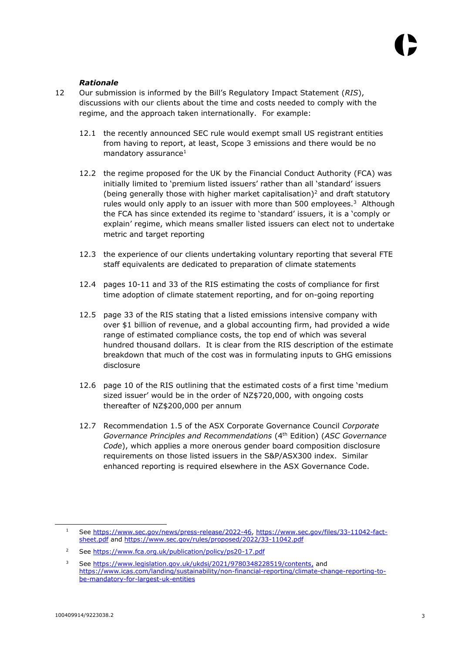#### *Rationale*

- 12 Our submission is informed by the Bill's Regulatory Impact Statement (*RIS*), discussions with our clients about the time and costs needed to comply with the regime, and the approach taken internationally. For example:
	- 12.1 the recently announced SEC rule would exempt small US registrant entities from having to report, at least, Scope 3 emissions and there would be no mandatory assurance $1$
	- 12.2 the regime proposed for the UK by the Financial Conduct Authority (FCA) was initially limited to 'premium listed issuers' rather than all 'standard' issuers (being generally those with higher market capitalisation)<sup>2</sup> and draft statutory rules would only apply to an issuer with more than 500 employees. $3$  Although the FCA has since extended its regime to 'standard' issuers, it is a 'comply or explain' regime, which means smaller listed issuers can elect not to undertake metric and target reporting
	- 12.3 the experience of our clients undertaking voluntary reporting that several FTE staff equivalents are dedicated to preparation of climate statements
	- 12.4 pages 10-11 and 33 of the RIS estimating the costs of compliance for first time adoption of climate statement reporting, and for on-going reporting
	- 12.5 page 33 of the RIS stating that a listed emissions intensive company with over \$1 billion of revenue, and a global accounting firm, had provided a wide range of estimated compliance costs, the top end of which was several hundred thousand dollars. It is clear from the RIS description of the estimate breakdown that much of the cost was in formulating inputs to GHG emissions disclosure
	- 12.6 page 10 of the RIS outlining that the estimated costs of a first time 'medium sized issuer' would be in the order of NZ\$720,000, with ongoing costs thereafter of NZ\$200,000 per annum
	- 12.7 Recommendation 1.5 of the ASX Corporate Governance Council *Corporate Governance Principles and Recommendations* (4th Edition) (*ASC Governance Code*), which applies a more onerous gender board composition disclosure requirements on those listed issuers in the S&P/ASX300 index. Similar enhanced reporting is required elsewhere in the ASX Governance Code.

-

<sup>1</sup> See [https://www.sec.gov/news/press-release/2022-46,](https://www.sec.gov/news/press-release/2022-46) [https://www.sec.gov/files/33-11042-fact](https://www.sec.gov/files/33-11042-fact-sheet.pdf)[sheet.pdf](https://www.sec.gov/files/33-11042-fact-sheet.pdf) and<https://www.sec.gov/rules/proposed/2022/33-11042.pdf>

<sup>2</sup> See<https://www.fca.org.uk/publication/policy/ps20-17.pdf>

<sup>&</sup>lt;sup>3</sup> See [https://www.legislation.gov.uk/ukdsi/2021/9780348228519/contents,](https://www.legislation.gov.uk/ukdsi/2021/9780348228519/contents) and [https://www.icas.com/landing/sustainability/non-financial-reporting/climate-change-reporting-to](https://www.icas.com/landing/sustainability/non-financial-reporting/climate-change-reporting-to-be-mandatory-for-largest-uk-entities)[be-mandatory-for-largest-uk-entities](https://www.icas.com/landing/sustainability/non-financial-reporting/climate-change-reporting-to-be-mandatory-for-largest-uk-entities)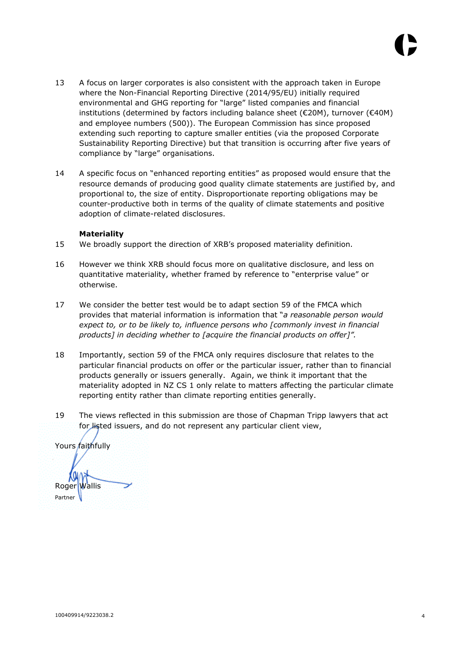- 13 A focus on larger corporates is also consistent with the approach taken in Europe where the Non-Financial Reporting Directive (2014/95/EU) initially required environmental and GHG reporting for "large" listed companies and financial institutions (determined by factors including balance sheet (€20M), turnover (€40M) and employee numbers (500)). The European Commission has since proposed extending such reporting to capture smaller entities (via the proposed Corporate Sustainability Reporting Directive) but that transition is occurring after five years of compliance by "large" organisations.
- 14 A specific focus on "enhanced reporting entities" as proposed would ensure that the resource demands of producing good quality climate statements are justified by, and proportional to, the size of entity. Disproportionate reporting obligations may be counter-productive both in terms of the quality of climate statements and positive adoption of climate-related disclosures.

#### **Materiality**

- 15 We broadly support the direction of XRB's proposed materiality definition.
- 16 However we think XRB should focus more on qualitative disclosure, and less on quantitative materiality, whether framed by reference to "enterprise value" or otherwise.
- 17 We consider the better test would be to adapt section 59 of the FMCA which provides that material information is information that "*a reasonable person would expect to, or to be likely to, influence persons who [commonly invest in financial products] in deciding whether to [acquire the financial products on offer]".*
- 18 Importantly, section 59 of the FMCA only requires disclosure that relates to the particular financial products on offer or the particular issuer, rather than to financial products generally or issuers generally. Again, we think it important that the materiality adopted in NZ CS 1 only relate to matters affecting the particular climate reporting entity rather than climate reporting entities generally.
- 19 The views reflected in this submission are those of Chapman Tripp lawyers that act for listed issuers, and do not represent any particular client view,

Yours faithfully Roger Wallis Partner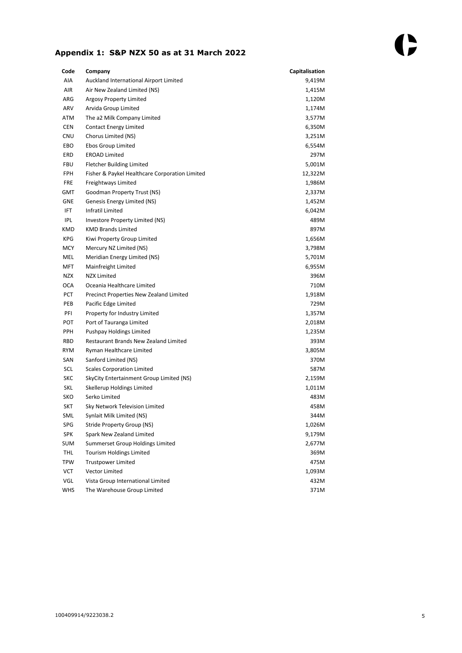### **Appendix 1: S&P NZX 50 as at 31 March 2022**

| Code       | Company                                        | Capitalisation |
|------------|------------------------------------------------|----------------|
| AIA        | Auckland International Airport Limited         | 9,419M         |
| AIR        | Air New Zealand Limited (NS)                   | 1,415M         |
| ARG        | <b>Argosy Property Limited</b>                 | 1,120M         |
| ARV        | Arvida Group Limited                           | 1,174M         |
| ATM        | The a2 Milk Company Limited                    | 3,577M         |
| <b>CEN</b> | <b>Contact Energy Limited</b>                  | 6,350M         |
| CNU        | Chorus Limited (NS)                            | 3,251M         |
| EBO        | Ebos Group Limited                             | 6,554M         |
| ERD        | <b>EROAD Limited</b>                           | 297M           |
| <b>FBU</b> | <b>Fletcher Building Limited</b>               | 5,001M         |
| <b>FPH</b> | Fisher & Paykel Healthcare Corporation Limited | 12,322M        |
| <b>FRE</b> | Freightways Limited                            | 1,986M         |
| GMT        | Goodman Property Trust (NS)                    | 2,337M         |
| <b>GNE</b> | Genesis Energy Limited (NS)                    | 1,452M         |
| <b>IFT</b> | Infratil Limited                               | 6,042M         |
| <b>IPL</b> | Investore Property Limited (NS)                | 489M           |
| KMD        | <b>KMD Brands Limited</b>                      | 897M           |
| KPG        | Kiwi Property Group Limited                    | 1,656M         |
| <b>MCY</b> | Mercury NZ Limited (NS)                        | 3,798M         |
| MEL        | Meridian Energy Limited (NS)                   | 5,701M         |
| MFT        | Mainfreight Limited                            | 6,955M         |
| <b>NZX</b> | <b>NZX Limited</b>                             | 396M           |
| <b>OCA</b> | Oceania Healthcare Limited                     | 710M           |
| <b>PCT</b> | Precinct Properties New Zealand Limited        | 1,918M         |
| PEB        | Pacific Edge Limited                           | 729M           |
| PFI        | Property for Industry Limited                  | 1,357M         |
| <b>POT</b> | Port of Tauranga Limited                       | 2,018M         |
| <b>PPH</b> | Pushpay Holdings Limited                       | 1,235M         |
| RBD        | Restaurant Brands New Zealand Limited          | 393M           |
| <b>RYM</b> | Ryman Healthcare Limited                       | 3,805M         |
| SAN        | Sanford Limited (NS)                           | 370M           |
| SCL        | <b>Scales Corporation Limited</b>              | 587M           |
| SKC        | SkyCity Entertainment Group Limited (NS)       | 2,159M         |
| SKL        | Skellerup Holdings Limited                     | 1,011M         |
| SKO        | Serko Limited                                  | 483M           |
| SKT        | Sky Network Television Limited                 | 458M           |
| SML        | Synlait Milk Limited (NS)                      | 344M           |
| SPG        | Stride Property Group (NS)                     | 1,026M         |
| SPK        | Spark New Zealand Limited                      | 9,179M         |
| SUM        | Summerset Group Holdings Limited               | 2,677M         |
| THL        | <b>Tourism Holdings Limited</b>                | 369M           |
| <b>TPW</b> | <b>Trustpower Limited</b>                      | 475M           |
| VCT        | Vector Limited                                 | 1,093M         |
| VGL        | Vista Group International Limited              | 432M           |
| <b>WHS</b> | The Warehouse Group Limited                    | 371M           |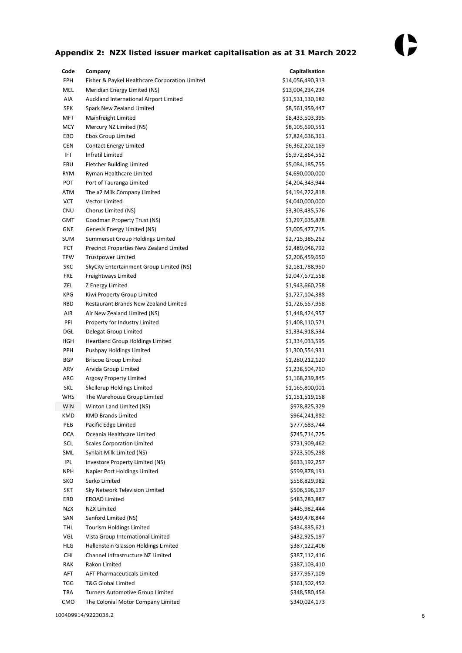## **Appendix 2: NZX listed issuer market capitalisation as at 31 March 2022**

| Code       | Company                                        | Capitalisation   |
|------------|------------------------------------------------|------------------|
| <b>FPH</b> | Fisher & Paykel Healthcare Corporation Limited | \$14,056,490,313 |
| MEL        | Meridian Energy Limited (NS)                   | \$13,004,234,234 |
| AIA        | Auckland International Airport Limited         | \$11,531,130,182 |
| <b>SPK</b> | Spark New Zealand Limited                      | \$8,561,959,447  |
| <b>MFT</b> | Mainfreight Limited                            | \$8,433,503,395  |
| MCY        | Mercury NZ Limited (NS)                        | \$8,105,690,551  |
| EBO        | Ebos Group Limited                             | \$7,824,636,361  |
| <b>CEN</b> | <b>Contact Energy Limited</b>                  | \$6,362,202,169  |
| IFT.       | Infratil Limited                               | \$5,972,864,552  |
| <b>FBU</b> | <b>Fletcher Building Limited</b>               | \$5,084,185,755  |
| <b>RYM</b> | Ryman Healthcare Limited                       | \$4,690,000,000  |
| POT        | Port of Tauranga Limited                       | \$4,204,343,944  |
| ATM        | The a2 Milk Company Limited                    | \$4,194,222,818  |
| <b>VCT</b> | <b>Vector Limited</b>                          | \$4,040,000,000  |
| <b>CNU</b> | Chorus Limited (NS)                            | \$3,303,435,576  |
| GMT        | Goodman Property Trust (NS)                    | \$3,297,635,878  |
| GNE        | Genesis Energy Limited (NS)                    | \$3,005,477,715  |
| <b>SUM</b> | Summerset Group Holdings Limited               | \$2,715,385,262  |
| PCT        | Precinct Properties New Zealand Limited        | \$2,489,046,792  |
| <b>TPW</b> | <b>Trustpower Limited</b>                      | \$2,206,459,650  |
| SKC        | SkyCity Entertainment Group Limited (NS)       | \$2,181,788,950  |
| <b>FRE</b> | Freightways Limited                            | \$2,047,672,558  |
| ZEL        | Z Energy Limited                               | \$1,943,660,258  |
| <b>KPG</b> | Kiwi Property Group Limited                    | \$1,727,104,388  |
| <b>RBD</b> | Restaurant Brands New Zealand Limited          | \$1,726,657,958  |
| AIR        | Air New Zealand Limited (NS)                   | \$1,448,424,957  |
| PFI        | Property for Industry Limited                  | \$1,408,110,571  |
| <b>DGL</b> | Delegat Group Limited                          | \$1,334,918,534  |
| HGH        | <b>Heartland Group Holdings Limited</b>        | \$1,334,033,595  |
| <b>PPH</b> | Pushpay Holdings Limited                       | \$1,300,554,931  |
| <b>BGP</b> | <b>Briscoe Group Limited</b>                   | \$1,280,212,120  |
| ARV        | Arvida Group Limited                           | \$1,238,504,760  |
| ARG        | <b>Argosy Property Limited</b>                 | \$1,168,239,845  |
| SKL        | Skellerup Holdings Limited                     | \$1,165,800,001  |
| WHS        | The Warehouse Group Limited                    | \$1,151,519,158  |
| <b>WIN</b> | Winton Land Limited (NS)                       | \$978,825,329    |
| <b>KMD</b> | <b>KMD Brands Limited</b>                      | \$964,241,882    |
| PEB        | Pacific Edge Limited                           | \$777,683,744    |
| OCA        | Oceania Healthcare Limited                     | \$745,714,725    |
| SCL        | <b>Scales Corporation Limited</b>              | \$731,909,462    |
| SML        | Synlait Milk Limited (NS)                      | \$723,505,298    |
| IPL        | Investore Property Limited (NS)                | \$633,192,257    |
| <b>NPH</b> | Napier Port Holdings Limited                   | \$599,878,191    |
| SKO        | Serko Limited                                  | \$558,829,982    |
| SKT        | Sky Network Television Limited                 | \$506,596,137    |
| ERD        | <b>EROAD Limited</b>                           | \$483,283,887    |
| NZX        | NZX Limited                                    | \$445,982,444    |
| SAN        | Sanford Limited (NS)                           | \$439,478,844    |
| THL        | <b>Tourism Holdings Limited</b>                | \$434,835,621    |
| VGL        | Vista Group International Limited              | \$432,925,197    |
| HLG        | Hallenstein Glasson Holdings Limited           | \$387,122,406    |
| CHI        | Channel Infrastructure NZ Limited              | \$387,112,416    |
| RAK        | Rakon Limited                                  | \$387,103,410    |
| AFT        | <b>AFT Pharmaceuticals Limited</b>             | \$377,957,109    |
| TGG        | T&G Global Limited                             | \$361,502,452    |
| TRA        | <b>Turners Automotive Group Limited</b>        | \$348,580,454    |
| смо        | The Colonial Motor Company Limited             | \$340,024,173    |
|            |                                                |                  |

100409914/9223038.2 6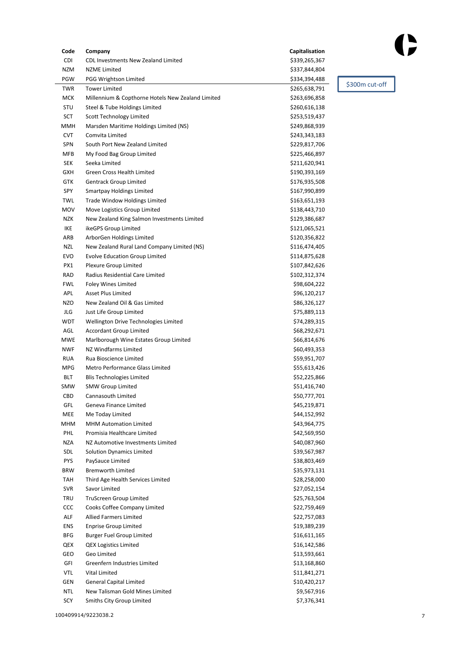| Code       | Company                                           | Capitalisation |
|------------|---------------------------------------------------|----------------|
| CDI        | <b>CDL Investments New Zealand Limited</b>        | \$339,265,367  |
| <b>NZM</b> | <b>NZME Limited</b>                               | \$337,844,804  |
| PGW        | PGG Wrightson Limited                             | \$334,394,488  |
| <b>TWR</b> | <b>Tower Limited</b>                              | \$265,638,791  |
| <b>MCK</b> | Millennium & Copthorne Hotels New Zealand Limited | \$263,696,858  |
| <b>STU</b> | Steel & Tube Holdings Limited                     | \$260,616,138  |
| SCT        | <b>Scott Technology Limited</b>                   | \$253,519,437  |
| MMH        | Marsden Maritime Holdings Limited (NS)            | \$249,868,939  |
| <b>CVT</b> | Comvita Limited                                   | \$243,343,183  |
| <b>SPN</b> | South Port New Zealand Limited                    | \$229,817,706  |
| <b>MFB</b> | My Food Bag Group Limited                         | \$225,466,897  |
| <b>SEK</b> | Seeka Limited                                     | \$211,620,941  |
| <b>GXH</b> | <b>Green Cross Health Limited</b>                 | \$190,393,169  |
| GTK        | <b>Gentrack Group Limited</b>                     | \$176,935,508  |
| SPY        | <b>Smartpay Holdings Limited</b>                  | \$167,990,899  |
| TWL        | Trade Window Holdings Limited                     | \$163,651,193  |
| MOV        | Move Logistics Group Limited                      | \$138,443,710  |
| <b>NZK</b> | New Zealand King Salmon Investments Limited       | \$129,386,687  |
| IKE        | ikeGPS Group Limited                              | \$121,065,521  |
| ARB        | ArborGen Holdings Limited                         | \$120,356,822  |
| NZL        | New Zealand Rural Land Company Limited (NS)       | \$116,474,405  |
| EVO        | <b>Evolve Education Group Limited</b>             | \$114,875,628  |
| PX1        | <b>Plexure Group Limited</b>                      | \$107,842,626  |
| RAD        | Radius Residential Care Limited                   | \$102,312,374  |
| <b>FWL</b> | <b>Foley Wines Limited</b>                        | \$98,604,222   |
| APL        | <b>Asset Plus Limited</b>                         | \$96,120,217   |
| <b>NZO</b> | New Zealand Oil & Gas Limited                     | \$86,326,127   |
| JLG        | Just Life Group Limited                           | \$75,889,113   |
| WDT        | Wellington Drive Technologies Limited             | \$74,289,315   |
| AGL        | <b>Accordant Group Limited</b>                    | \$68,292,671   |
| MWE        | Marlborough Wine Estates Group Limited            | \$66,814,676   |
| <b>NWF</b> | <b>NZ Windfarms Limited</b>                       | \$60,493,353   |
| <b>RUA</b> | Rua Bioscience Limited                            | \$59,951,707   |
| <b>MPG</b> | Metro Performance Glass Limited                   | \$55,613,426   |
| <b>BLT</b> | <b>Blis Technologies Limited</b>                  | \$52,225,866   |
| SMW        | <b>SMW Group Limited</b>                          | \$51,416,740   |
| CBD        | Cannasouth Limited                                | \$50,777,701   |
| GFL        | Geneva Finance Limited                            | \$45,219,871   |
| MEE        | Me Today Limited                                  | \$44,152,992   |
| MHM        | <b>MHM Automation Limited</b>                     | \$43,964,775   |
| PHL        | Promisia Healthcare Limited                       | \$42,569,950   |
| <b>NZA</b> | NZ Automotive Investments Limited                 | \$40,087,960   |
| SDL        | <b>Solution Dynamics Limited</b>                  | \$39,567,987   |
| <b>PYS</b> | PaySauce Limited                                  | \$38,803,469   |
| <b>BRW</b> | <b>Bremworth Limited</b>                          | \$35,973,131   |
| TAH        | Third Age Health Services Limited                 | \$28,258,000   |
| <b>SVR</b> | Savor Limited                                     | \$27,052,154   |
| <b>TRU</b> | TruScreen Group Limited                           | \$25,763,504   |
| CCC        | Cooks Coffee Company Limited                      | \$22,759,469   |
| ALF        | <b>Allied Farmers Limited</b>                     | \$22,757,083   |
| ENS        | <b>Enprise Group Limited</b>                      | \$19,389,239   |
| BFG        | <b>Burger Fuel Group Limited</b>                  | \$16,611,165   |
| QEX        | <b>QEX Logistics Limited</b>                      | \$16,142,586   |
| GEO        | Geo Limited                                       | \$13,593,661   |
| GFI        | Greenfern Industries Limited                      | \$13,168,860   |
| VTL        | Vital Limited                                     | \$11,841,271   |
| <b>GEN</b> | <b>General Capital Limited</b>                    | \$10,420,217   |
| <b>NTL</b> | New Talisman Gold Mines Limited                   | \$9,567,916    |
| SCY        | Smiths City Group Limited                         | \$7,376,341    |

\$300m cut-off

()